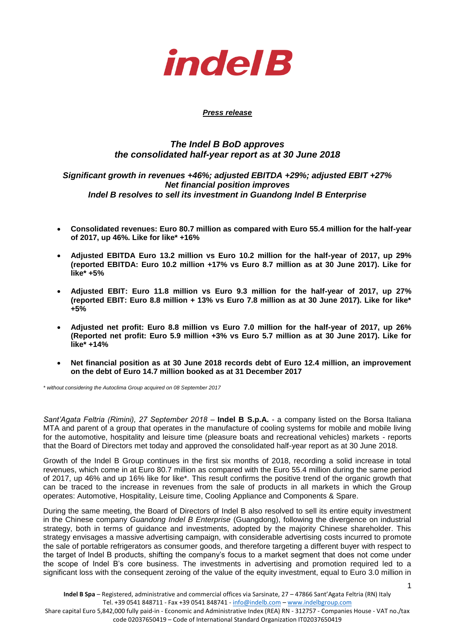

### *Press release*

# *The Indel B BoD approves the consolidated half-year report as at 30 June 2018*

## *Significant growth in revenues +46%; adjusted EBITDA +29%; adjusted EBIT +27% Net financial position improves Indel B resolves to sell its investment in Guandong Indel B Enterprise*

- **Consolidated revenues: Euro 80.7 million as compared with Euro 55.4 million for the half-year of 2017, up 46%. Like for like\* +16%**
- **Adjusted EBITDA Euro 13.2 million vs Euro 10.2 million for the half-year of 2017, up 29% (reported EBITDA: Euro 10.2 million +17% vs Euro 8.7 million as at 30 June 2017). Like for like\* +5%**
- **Adjusted EBIT: Euro 11.8 million vs Euro 9.3 million for the half-year of 2017, up 27% (reported EBIT: Euro 8.8 million + 13% vs Euro 7.8 million as at 30 June 2017). Like for like\* +5%**
- **Adjusted net profit: Euro 8.8 million vs Euro 7.0 million for the half-year of 2017, up 26% (Reported net profit: Euro 5.9 million +3% vs Euro 5.7 million as at 30 June 2017). Like for like\* +14%**
- **Net financial position as at 30 June 2018 records debt of Euro 12.4 million, an improvement on the debt of Euro 14.7 million booked as at 31 December 2017**

*\* without considering the Autoclima Group acquired on 08 September 2017*

*Sant'Agata Feltria (Rimini), 27 September 2018* – **Indel B S.p.A.** - a company listed on the Borsa Italiana MTA and parent of a group that operates in the manufacture of cooling systems for mobile and mobile living for the automotive, hospitality and leisure time (pleasure boats and recreational vehicles) markets - reports that the Board of Directors met today and approved the consolidated half-year report as at 30 June 2018.

Growth of the Indel B Group continues in the first six months of 2018, recording a solid increase in total revenues, which come in at Euro 80.7 million as compared with the Euro 55.4 million during the same period of 2017, up 46% and up 16% like for like\*. This result confirms the positive trend of the organic growth that can be traced to the increase in revenues from the sale of products in all markets in which the Group operates: Automotive, Hospitality, Leisure time, Cooling Appliance and Components & Spare.

During the same meeting, the Board of Directors of Indel B also resolved to sell its entire equity investment in the Chinese company *Guandong Indel B Enterprise* (Guangdong), following the divergence on industrial strategy, both in terms of guidance and investments, adopted by the majority Chinese shareholder. This strategy envisages a massive advertising campaign, with considerable advertising costs incurred to promote the sale of portable refrigerators as consumer goods, and therefore targeting a different buyer with respect to the target of Indel B products, shifting the company's focus to a market segment that does not come under the scope of Indel B's core business. The investments in advertising and promotion required led to a significant loss with the consequent zeroing of the value of the equity investment, equal to Euro 3.0 million in

1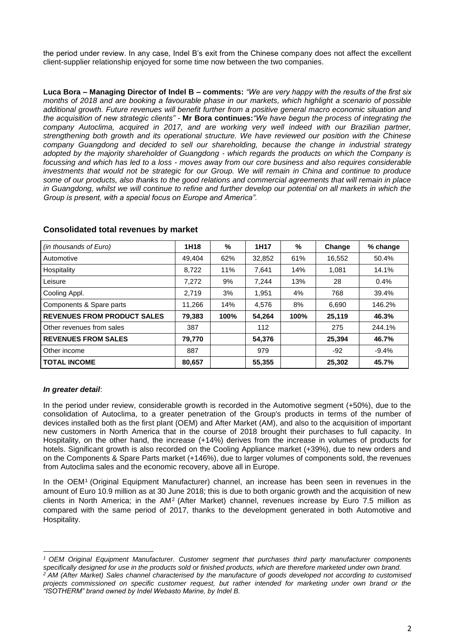the period under review. In any case, Indel B's exit from the Chinese company does not affect the excellent client-supplier relationship enjoyed for some time now between the two companies.

**Luca Bora – Managing Director of Indel B – comments:** *"We are very happy with the results of the first six months of 2018 and are booking a favourable phase in our markets, which highlight a scenario of possible additional growth. Future revenues will benefit further from a positive general macro economic situation and the acquisition of new strategic clients" -* **Mr Bora continues:***"We have begun the process of integrating the company Autoclima, acquired in 2017, and are working very well indeed with our Brazilian partner, strengthening both growth and its operational structure. We have reviewed our position with the Chinese company Guangdong and decided to sell our shareholding, because the change in industrial strategy adopted by the majority shareholder of Guangdong - which regards the products on which the Company is focussing and which has led to a loss - moves away from our core business and also requires considerable investments that would not be strategic for our Group. We will remain in China and continue to produce some of our products, also thanks to the good relations and commercial agreements that will remain in place in Guangdong, whilst we will continue to refine and further develop our potential on all markets in which the Group is present, with a special focus on Europe and America".* 

| (in thousands of Euro)             | 1H18   | %    | 1H17   | %    | Change | % change |
|------------------------------------|--------|------|--------|------|--------|----------|
| Automotive                         | 49.404 | 62%  | 32,852 | 61%  | 16,552 | 50.4%    |
| Hospitality                        | 8.722  | 11%  | 7.641  | 14%  | 1,081  | 14.1%    |
| Leisure                            | 7,272  | 9%   | 7,244  | 13%  | 28     | 0.4%     |
| Cooling Appl.                      | 2.719  | 3%   | 1.951  | 4%   | 768    | 39.4%    |
| Components & Spare parts           | 11.266 | 14%  | 4.576  | 8%   | 6,690  | 146.2%   |
| <b>REVENUES FROM PRODUCT SALES</b> | 79,383 | 100% | 54,264 | 100% | 25,119 | 46.3%    |
| Other revenues from sales          | 387    |      | 112    |      | 275    | 244.1%   |
| <b>REVENUES FROM SALES</b>         | 79,770 |      | 54,376 |      | 25,394 | 46.7%    |
| Other income                       | 887    |      | 979    |      | -92    | $-9.4%$  |
| <b>TOTAL INCOME</b>                | 80,657 |      | 55,355 |      | 25,302 | 45.7%    |

## **Consolidated total revenues by market**

## *In greater detail*:

**.** 

In the period under review, considerable growth is recorded in the Automotive segment (+50%), due to the consolidation of Autoclima, to a greater penetration of the Group's products in terms of the number of devices installed both as the first plant (OEM) and After Market (AM), and also to the acquisition of important new customers in North America that in the course of 2018 brought their purchases to full capacity. In Hospitality, on the other hand, the increase (+14%) derives from the increase in volumes of products for hotels. Significant growth is also recorded on the Cooling Appliance market (+39%), due to new orders and on the Components & Spare Parts market (+146%), due to larger volumes of components sold, the revenues from Autoclima sales and the economic recovery, above all in Europe.

In the OEM<sup>1</sup> (Original Equipment Manufacturer) channel, an increase has been seen in revenues in the amount of Euro 10.9 million as at 30 June 2018; this is due to both organic growth and the acquisition of new clients in North America; in the AM<sup>2</sup> (After Market) channel, revenues increase by Euro 7.5 million as compared with the same period of 2017, thanks to the development generated in both Automotive and Hospitality.

*<sup>1</sup> OEM Original Equipment Manufacturer. Customer segment that purchases third party manufacturer components*  specifically designed for use in the products sold or finished products, which are therefore marketed under own brand.

*<sup>2</sup> AM (After Market) Sales channel characterised by the manufacture of goods developed not according to customised projects commissioned on specific customer request, but rather intended for marketing under own brand or the "ISOTHERM" brand owned by Indel Webasto Marine, by Indel B.*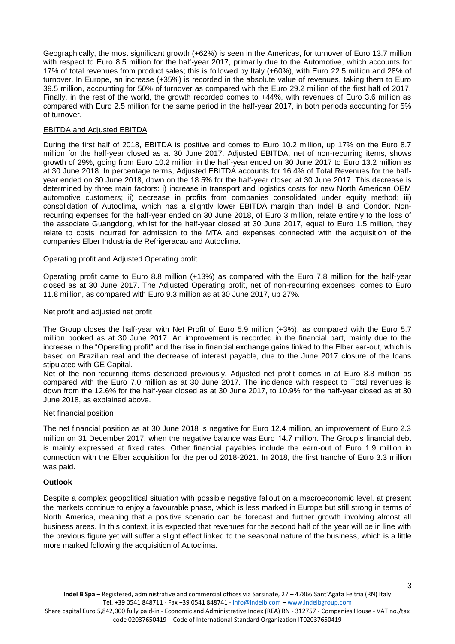Geographically, the most significant growth (+62%) is seen in the Americas, for turnover of Euro 13.7 million with respect to Euro 8.5 million for the half-year 2017, primarily due to the Automotive, which accounts for 17% of total revenues from product sales; this is followed by Italy (+60%), with Euro 22.5 million and 28% of turnover. In Europe, an increase (+35%) is recorded in the absolute value of revenues, taking them to Euro 39.5 million, accounting for 50% of turnover as compared with the Euro 29.2 million of the first half of 2017. Finally, in the rest of the world, the growth recorded comes to +44%, with revenues of Euro 3.6 million as compared with Euro 2.5 million for the same period in the half-year 2017, in both periods accounting for 5% of turnover.

## EBITDA and Adjusted EBITDA

During the first half of 2018, EBITDA is positive and comes to Euro 10.2 million, up 17% on the Euro 8.7 million for the half-year closed as at 30 June 2017. Adjusted EBITDA, net of non-recurring items, shows growth of 29%, going from Euro 10.2 million in the half-year ended on 30 June 2017 to Euro 13.2 million as at 30 June 2018. In percentage terms, Adjusted EBITDA accounts for 16.4% of Total Revenues for the halfyear ended on 30 June 2018, down on the 18.5% for the half-year closed at 30 June 2017. This decrease is determined by three main factors: i) increase in transport and logistics costs for new North American OEM automotive customers; ii) decrease in profits from companies consolidated under equity method; iii) consolidation of Autoclima, which has a slightly lower EBITDA margin than Indel B and Condor. Nonrecurring expenses for the half-year ended on 30 June 2018, of Euro 3 million, relate entirely to the loss of the associate Guangdong, whilst for the half-year closed at 30 June 2017, equal to Euro 1.5 million, they relate to costs incurred for admission to the MTA and expenses connected with the acquisition of the companies Elber Industria de Refrigeracao and Autoclima.

### Operating profit and Adjusted Operating profit

Operating profit came to Euro 8.8 million (+13%) as compared with the Euro 7.8 million for the half-year closed as at 30 June 2017. The Adjusted Operating profit, net of non-recurring expenses, comes to Euro 11.8 million, as compared with Euro 9.3 million as at 30 June 2017, up 27%.

#### Net profit and adjusted net profit

The Group closes the half-year with Net Profit of Euro 5.9 million (+3%), as compared with the Euro 5.7 million booked as at 30 June 2017. An improvement is recorded in the financial part, mainly due to the increase in the "Operating profit" and the rise in financial exchange gains linked to the Elber ear-out, which is based on Brazilian real and the decrease of interest payable, due to the June 2017 closure of the loans stipulated with GE Capital.

Net of the non-recurring items described previously, Adjusted net profit comes in at Euro 8.8 million as compared with the Euro 7.0 million as at 30 June 2017. The incidence with respect to Total revenues is down from the 12.6% for the half-year closed as at 30 June 2017, to 10.9% for the half-year closed as at 30 June 2018, as explained above.

#### Net financial position

The net financial position as at 30 June 2018 is negative for Euro 12.4 million, an improvement of Euro 2.3 million on 31 December 2017, when the negative balance was Euro 14.7 million. The Group's financial debt is mainly expressed at fixed rates. Other financial payables include the earn-out of Euro 1.9 million in connection with the Elber acquisition for the period 2018-2021. In 2018, the first tranche of Euro 3.3 million was paid.

### **Outlook**

Despite a complex geopolitical situation with possible negative fallout on a macroeconomic level, at present the markets continue to enjoy a favourable phase, which is less marked in Europe but still strong in terms of North America, meaning that a positive scenario can be forecast and further growth involving almost all business areas. In this context, it is expected that revenues for the second half of the year will be in line with the previous figure yet will suffer a slight effect linked to the seasonal nature of the business, which is a little more marked following the acquisition of Autoclima.

3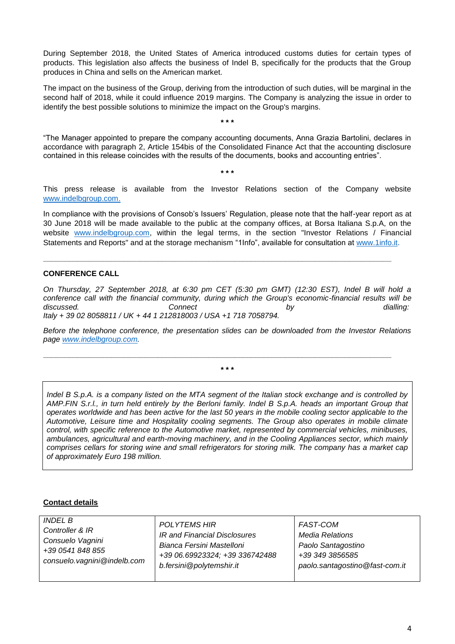During September 2018, the United States of America introduced customs duties for certain types of products. This legislation also affects the business of Indel B, specifically for the products that the Group produces in China and sells on the American market.

The impact on the business of the Group, deriving from the introduction of such duties, will be marginal in the second half of 2018, while it could influence 2019 margins. The Company is analyzing the issue in order to identify the best possible solutions to minimize the impact on the Group's margins.

**\* \* \***

"The Manager appointed to prepare the company accounting documents, Anna Grazia Bartolini, declares in accordance with paragraph 2, Article 154bis of the Consolidated Finance Act that the accounting disclosure contained in this release coincides with the results of the documents, books and accounting entries".

**\* \* \***

This press release is available from the Investor Relations section of the Company website [www.indelbgroup.com.](http://www.indelbgroup.com/)

In compliance with the provisions of Consob's Issuers' Regulation, please note that the half-year report as at 30 June 2018 will be made available to the public at the company offices, at Borsa Italiana S.p.A, on the website [www.indelbgroup.com,](http://www.indelbgroup.com/) within the legal terms, in the section "Investor Relations / Financial Statements and Reports" and at the storage mechanism "1Info", available for consultation at [www.1info.it.](http://www.1info.it/)

**\_\_\_\_\_\_\_\_\_\_\_\_\_\_\_\_\_\_\_\_\_\_\_\_\_\_\_\_\_\_\_\_\_\_\_\_\_\_\_\_\_\_\_\_\_\_\_\_\_\_\_\_\_\_\_\_\_\_\_\_\_\_\_\_\_\_\_\_\_\_\_\_\_\_\_\_\_\_\_\_\_\_**

# **CONFERENCE CALL**

*On Thursday, 27 September 2018, at 6:30 pm CET (5:30 pm GMT) (12:30 EST), Indel B will hold a conference call with the financial community, during which the Group's economic-financial results will be discussed. Connect by dialling: Italy + 39 02 8058811 / UK + 44 1 212818003 / USA +1 718 7058794.* 

*Before the telephone conference, the presentation slides can be downloaded from the Investor Relations page [www.indelbgroup.com.](http://www.indelbgroup.com/)* 

**\* \* \***

**\_\_\_\_\_\_\_\_\_\_\_\_\_\_\_\_\_\_\_\_\_\_\_\_\_\_\_\_\_\_\_\_\_\_\_\_\_\_\_\_\_\_\_\_\_\_\_\_\_\_\_\_\_\_\_\_\_\_\_\_\_\_\_\_\_\_\_\_\_\_\_\_\_\_\_\_\_\_\_\_\_\_**

*Indel B S.p.A. is a company listed on the MTA segment of the Italian stock exchange and is controlled by AMP.FIN S.r.l., in turn held entirely by the Berloni family. Indel B S.p.A. heads an important Group that operates worldwide and has been active for the last 50 years in the mobile cooling sector applicable to the Automotive, Leisure time and Hospitality cooling segments. The Group also operates in mobile climate control, with specific reference to the Automotive market, represented by commercial vehicles, minibuses, ambulances, agricultural and earth-moving machinery, and in the Cooling Appliances sector, which mainly comprises cellars for storing wine and small refrigerators for storing milk. The company has a market cap of approximately Euro 198 million.*

## **Contact details**

| <i>INDEL B</i><br>Controller & IR<br>Consuelo Vagnini<br>+39 0541 848 855<br>consuelo. vagnini @indelb.com | <b>POLYTEMS HIR</b><br>IR and Financial Disclosures                                     | FAST-COM<br><b>Media Relations</b><br>Paolo Santagostino<br>+39 349 3856585<br>paolo.santagostino@fast-com.it |  |
|------------------------------------------------------------------------------------------------------------|-----------------------------------------------------------------------------------------|---------------------------------------------------------------------------------------------------------------|--|
|                                                                                                            | Bianca Fersini Mastelloni<br>+39 06.69923324; +39 336742488<br>b.fersini@polytemshir.it |                                                                                                               |  |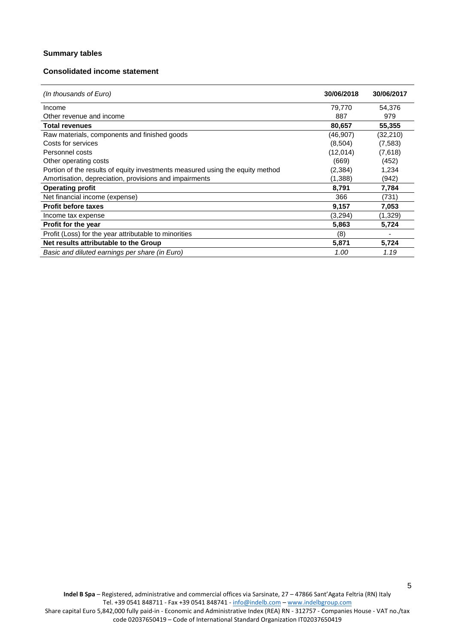### **Summary tables**

## **Consolidated income statement**

| (In thousands of Euro)                                                        | 30/06/2018 | 30/06/2017 |
|-------------------------------------------------------------------------------|------------|------------|
| Income                                                                        | 79,770     | 54,376     |
| Other revenue and income                                                      | 887        | 979        |
| <b>Total revenues</b>                                                         | 80,657     | 55,355     |
| Raw materials, components and finished goods                                  | (46, 907)  | (32,210)   |
| Costs for services                                                            | (8,504)    | (7,583)    |
| Personnel costs                                                               | (12,014)   | (7,618)    |
| Other operating costs                                                         | (669)      | (452)      |
| Portion of the results of equity investments measured using the equity method | (2,384)    | 1,234      |
| Amortisation, depreciation, provisions and impairments                        | (1,388)    | (942)      |
| <b>Operating profit</b>                                                       | 8,791      | 7,784      |
| Net financial income (expense)                                                | 366        | (731)      |
| <b>Profit before taxes</b>                                                    | 9,157      | 7,053      |
| Income tax expense                                                            | (3,294)    | (1,329)    |
| Profit for the year                                                           | 5,863      | 5,724      |
| Profit (Loss) for the year attributable to minorities                         | (8)        |            |
| Net results attributable to the Group                                         | 5,871      | 5,724      |
| Basic and diluted earnings per share (in Euro)                                | 1.00       | 1.19       |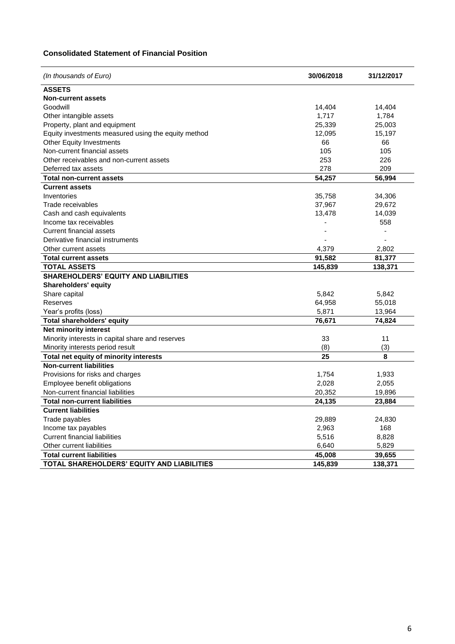## **Consolidated Statement of Financial Position**

| (In thousands of Euro)                              | 30/06/2018 | 31/12/2017 |  |
|-----------------------------------------------------|------------|------------|--|
| <b>ASSETS</b>                                       |            |            |  |
| <b>Non-current assets</b>                           |            |            |  |
| Goodwill                                            | 14,404     | 14,404     |  |
| Other intangible assets                             | 1,717      | 1,784      |  |
| Property, plant and equipment                       | 25,339     | 25,003     |  |
| Equity investments measured using the equity method | 12,095     | 15,197     |  |
| Other Equity Investments                            | 66         | 66         |  |
| Non-current financial assets                        | 105        | 105        |  |
| Other receivables and non-current assets            | 253        | 226        |  |
| Deferred tax assets                                 | 278        | 209        |  |
| <b>Total non-current assets</b>                     | 54,257     | 56,994     |  |
| <b>Current assets</b>                               |            |            |  |
| Inventories                                         | 35,758     | 34,306     |  |
| Trade receivables                                   | 37,967     | 29,672     |  |
| Cash and cash equivalents                           | 13,478     | 14,039     |  |
| Income tax receivables                              |            | 558        |  |
| <b>Current financial assets</b>                     |            |            |  |
| Derivative financial instruments                    |            |            |  |
| Other current assets                                | 4,379      | 2,802      |  |
| <b>Total current assets</b>                         | 91,582     | 81,377     |  |
| <b>TOTAL ASSETS</b>                                 | 145,839    | 138,371    |  |
| <b>SHAREHOLDERS' EQUITY AND LIABILITIES</b>         |            |            |  |
| <b>Shareholders' equity</b>                         |            |            |  |
| Share capital                                       | 5,842      | 5,842      |  |
| Reserves                                            | 64,958     | 55,018     |  |
| Year's profits (loss)                               | 5,871      | 13,964     |  |
| <b>Total shareholders' equity</b>                   | 76,671     | 74,824     |  |
| Net minority interest                               |            |            |  |
| Minority interests in capital share and reserves    | 33         | 11         |  |
| Minority interests period result                    | (8)        | (3)        |  |
| Total net equity of minority interests              | 25         | 8          |  |
| <b>Non-current liabilities</b>                      |            |            |  |
| Provisions for risks and charges                    | 1,754      | 1,933      |  |
| Employee benefit obligations                        | 2,028      | 2,055      |  |
| Non-current financial liabilities                   | 20,352     | 19,896     |  |
| <b>Total non-current liabilities</b>                | 24,135     | 23,884     |  |
| <b>Current liabilities</b>                          |            |            |  |
| Trade payables                                      | 29,889     | 24,830     |  |
| Income tax payables                                 | 2,963      | 168        |  |
| <b>Current financial liabilities</b>                | 5,516      | 8,828      |  |
| Other current liabilities                           | 6,640      | 5,829      |  |
| <b>Total current liabilities</b>                    | 45,008     | 39,655     |  |
| TOTAL SHAREHOLDERS' EQUITY AND LIABILITIES          | 145,839    | 138,371    |  |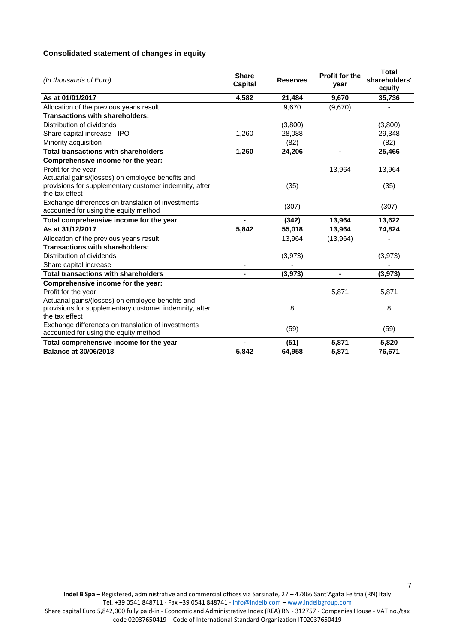## **Consolidated statement of changes in equity**

| (In thousands of Euro)                                                                      | <b>Share</b><br>Capital | <b>Reserves</b> | <b>Profit for the</b><br>year | <b>Total</b><br>shareholders'<br>equity |
|---------------------------------------------------------------------------------------------|-------------------------|-----------------|-------------------------------|-----------------------------------------|
| As at 01/01/2017                                                                            | 4,582                   | 21,484          | 9,670                         | 35,736                                  |
| Allocation of the previous year's result                                                    |                         | 9,670           | (9,670)                       |                                         |
| Transactions with shareholders:                                                             |                         |                 |                               |                                         |
| Distribution of dividends                                                                   |                         | (3,800)         |                               | (3,800)                                 |
| Share capital increase - IPO                                                                | 1,260                   | 28,088          |                               | 29,348                                  |
| Minority acquisition                                                                        |                         | (82)            |                               | (82)                                    |
| <b>Total transactions with shareholders</b>                                                 | 1,260                   | 24,206          |                               | 25,466                                  |
| Comprehensive income for the year:                                                          |                         |                 |                               |                                         |
| Profit for the year                                                                         |                         |                 | 13,964                        | 13,964                                  |
| Actuarial gains/(losses) on employee benefits and                                           |                         |                 |                               |                                         |
| provisions for supplementary customer indemnity, after                                      |                         | (35)            |                               | (35)                                    |
| the tax effect                                                                              |                         |                 |                               |                                         |
| Exchange differences on translation of investments                                          |                         | (307)           |                               | (307)                                   |
| accounted for using the equity method                                                       |                         |                 |                               |                                         |
| Total comprehensive income for the year                                                     |                         | (342)           | 13,964                        | 13,622                                  |
| As at 31/12/2017                                                                            | 5,842                   | 55,018          | 13,964                        | 74,824                                  |
| Allocation of the previous year's result                                                    |                         | 13,964          | (13,964)                      |                                         |
| Transactions with shareholders:                                                             |                         |                 |                               |                                         |
| Distribution of dividends                                                                   |                         | (3,973)         |                               | (3,973)                                 |
| Share capital increase                                                                      |                         |                 |                               |                                         |
| <b>Total transactions with shareholders</b>                                                 |                         | (3,973)         |                               | (3, 973)                                |
| Comprehensive income for the year:                                                          |                         |                 |                               |                                         |
| Profit for the year                                                                         |                         |                 | 5,871                         | 5,871                                   |
| Actuarial gains/(losses) on employee benefits and                                           |                         |                 |                               |                                         |
| provisions for supplementary customer indemnity, after                                      |                         | 8               |                               | 8                                       |
| the tax effect                                                                              |                         |                 |                               |                                         |
| Exchange differences on translation of investments<br>accounted for using the equity method |                         | (59)            |                               | (59)                                    |
| Total comprehensive income for the year                                                     |                         | (51)            | 5,871                         | 5,820                                   |
| <b>Balance at 30/06/2018</b>                                                                | 5,842                   | 64,958          | 5,871                         | 76,671                                  |

7